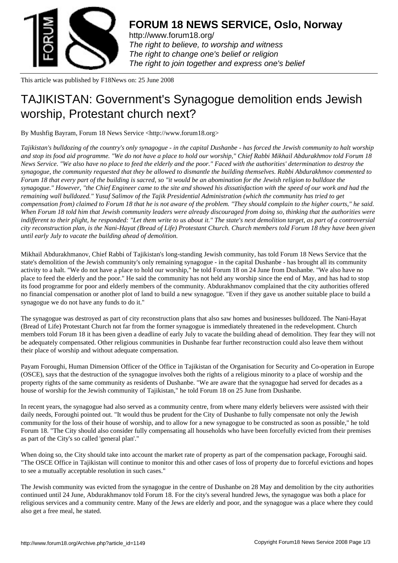

http://www.forum18.org/ The right to believe, to worship and witness The right to change one's belief or religion [The right to join together](http://www.forum18.org/) and express one's belief

This article was published by F18News on: 25 June 2008

## [TAJIKISTAN: Gove](http://www.forum18.org)rnment's Synagogue demolition ends Jewish worship, Protestant church next?

By Mushfig Bayram, Forum 18 News Service <http://www.forum18.org>

*Tajikistan's bulldozing of the country's only synagogue - in the capital Dushanbe - has forced the Jewish community to halt worship and stop its food aid programme. "We do not have a place to hold our worship," Chief Rabbi Mikhail Abdurakhmov told Forum 18 News Service. "We also have no place to feed the elderly and the poor." Faced with the authorities' determination to destroy the synagogue, the community requested that they be allowed to dismantle the building themselves. Rabbi Abdurakhmov commented to Forum 18 that every part of the building is sacred, so "it would be an abomination for the Jewish religion to bulldoze the synagogue." However, "the Chief Engineer came to the site and showed his dissatisfaction with the speed of our work and had the remaining wall bulldozed." Yusuf Salimov of the Tajik Presidential Administration (which the community has tried to get compensation from) claimed to Forum 18 that he is not aware of the problem. "They should complain to the higher courts," he said. When Forum 18 told him that Jewish community leaders were already discouraged from doing so, thinking that the authorities were indifferent to their plight, he responded: "Let them write to us about it." The state's next demolition target, as part of a controversial city reconstruction plan, is the Nani-Hayat (Bread of Life) Protestant Church. Church members told Forum 18 they have been given until early July to vacate the building ahead of demolition.*

Mikhail Abdurakhmanov, Chief Rabbi of Tajikistan's long-standing Jewish community, has told Forum 18 News Service that the state's demolition of the Jewish community's only remaining synagogue - in the capital Dushanbe - has brought all its community activity to a halt. "We do not have a place to hold our worship," he told Forum 18 on 24 June from Dushanbe. "We also have no place to feed the elderly and the poor." He said the community has not held any worship since the end of May, and has had to stop its food programme for poor and elderly members of the community. Abdurakhmanov complained that the city authorities offered no financial compensation or another plot of land to build a new synagogue. "Even if they gave us another suitable place to build a synagogue we do not have any funds to do it."

The synagogue was destroyed as part of city reconstruction plans that also saw homes and businesses bulldozed. The Nani-Hayat (Bread of Life) Protestant Church not far from the former synagogue is immediately threatened in the redevelopment. Church members told Forum 18 it has been given a deadline of early July to vacate the building ahead of demolition. They fear they will not be adequately compensated. Other religious communities in Dushanbe fear further reconstruction could also leave them without their place of worship and without adequate compensation.

Payam Foroughi, Human Dimension Officer of the Office in Tajikistan of the Organisation for Security and Co-operation in Europe (OSCE), says that the destruction of the synagogue involves both the rights of a religious minority to a place of worship and the property rights of the same community as residents of Dushanbe. "We are aware that the synagogue had served for decades as a house of worship for the Jewish community of Tajikistan," he told Forum 18 on 25 June from Dushanbe.

In recent years, the synagogue had also served as a community centre, from where many elderly believers were assisted with their daily needs, Foroughi pointed out. "It would thus be prudent for the City of Dushanbe to fully compensate not only the Jewish community for the loss of their house of worship, and to allow for a new synagogue to be constructed as soon as possible," he told Forum 18. "The City should also consider fully compensating all households who have been forcefully evicted from their premises as part of the City's so called 'general plan'."

When doing so, the City should take into account the market rate of property as part of the compensation package, Foroughi said. "The OSCE Office in Tajikistan will continue to monitor this and other cases of loss of property due to forceful evictions and hopes to see a mutually acceptable resolution in such cases."

The Jewish community was evicted from the synagogue in the centre of Dushanbe on 28 May and demolition by the city authorities continued until 24 June, Abdurakhmanov told Forum 18. For the city's several hundred Jews, the synagogue was both a place for religious services and a community centre. Many of the Jews are elderly and poor, and the synagogue was a place where they could also get a free meal, he stated.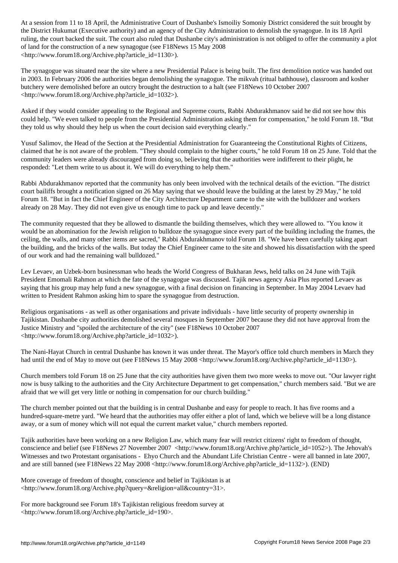the District Hukumat (Executive authority) and an agency of the Synapogue. In its 18 April 18 April 18 April 1 ruling, the court backed the suit. The court also ruled that Dushanbe city's administration is not obliged to offer the community a plot of land for the construction of a new synagogue (see F18News 15 May 2008 <http://www.forum18.org/Archive.php?article\_id=1130>).

The synagogue was situated near the site where a new Presidential Palace is being built. The first demolition notice was handed out in 2003. In February 2006 the authorities began demolishing the synagogue. The mikvah (ritual bathhouse), classroom and kosher butchery were demolished before an outcry brought the destruction to a halt (see F18News 10 October 2007 <http://www.forum18.org/Archive.php?article\_id=1032>).

Asked if they would consider appealing to the Regional and Supreme courts, Rabbi Abdurakhmanov said he did not see how this could help. "We even talked to people from the Presidential Administration asking them for compensation," he told Forum 18. "But they told us why should they help us when the court decision said everything clearly."

Yusuf Salimov, the Head of the Section at the Presidential Administration for Guaranteeing the Constitutional Rights of Citizens, claimed that he is not aware of the problem. "They should complain to the higher courts," he told Forum 18 on 25 June. Told that the community leaders were already discouraged from doing so, believing that the authorities were indifferent to their plight, he responded: "Let them write to us about it. We will do everything to help them."

Rabbi Abdurakhmanov reported that the community has only been involved with the technical details of the eviction. "The district court bailiffs brought a notification signed on 26 May saying that we should leave the building at the latest by 29 May," he told Forum 18. "But in fact the Chief Engineer of the City Architecture Department came to the site with the bulldozer and workers already on 28 May. They did not even give us enough time to pack up and leave decently."

The community requested that they be allowed to dismantle the building themselves, which they were allowed to. "You know it would be an abomination for the Jewish religion to bulldoze the synagogue since every part of the building including the frames, the ceiling, the walls, and many other items are sacred," Rabbi Abdurakhmanov told Forum 18. "We have been carefully taking apart the building, and the bricks of the walls. But today the Chief Engineer came to the site and showed his dissatisfaction with the speed of our work and had the remaining wall bulldozed."

Lev Levaev, an Uzbek-born businessman who heads the World Congress of Bukharan Jews, held talks on 24 June with Tajik President Emomali Rahmon at which the fate of the synagogue was discussed. Tajik news agency Asia Plus reported Levaev as saying that his group may help fund a new synagogue, with a final decision on financing in September. In May 2004 Levaev had written to President Rahmon asking him to spare the synagogue from destruction.

Religious organisations - as well as other organisations and private individuals - have little security of property ownership in Tajikistan. Dushanbe city authorities demolished several mosques in September 2007 because they did not have approval from the Justice Ministry and "spoiled the architecture of the city" (see F18News 10 October 2007 <http://www.forum18.org/Archive.php?article\_id=1032>).

The Nani-Hayat Church in central Dushanbe has known it was under threat. The Mayor's office told church members in March they had until the end of May to move out (see F18News 15 May 2008 <http://www.forum18.org/Archive.php?article\_id=1130>).

Church members told Forum 18 on 25 June that the city authorities have given them two more weeks to move out. "Our lawyer right now is busy talking to the authorities and the City Architecture Department to get compensation," church members said. "But we are afraid that we will get very little or nothing in compensation for our church building."

The church member pointed out that the building is in central Dushanbe and easy for people to reach. It has five rooms and a hundred-square-metre yard. "We heard that the authorities may offer either a plot of land, which we believe will be a long distance away, or a sum of money which will not equal the current market value," church members reported.

Tajik authorities have been working on a new Religion Law, which many fear will restrict citizens' right to freedom of thought, conscience and belief (see F18News 27 November 2007 <http://www.forum18.org/Archive.php?article\_id=1052>). The Jehovah's Witnesses and two Protestant organisations - Ehyo Church and the Abundant Life Christian Centre - were all banned in late 2007, and are still banned (see F18News 22 May 2008 <http://www.forum18.org/Archive.php?article\_id=1132>). (END)

More coverage of freedom of thought, conscience and belief in Tajikistan is at <http://www.forum18.org/Archive.php?query=&religion=all&country=31>.

For more background see Forum 18's Tajikistan religious freedom survey at <http://www.forum18.org/Archive.php?article\_id=190>.